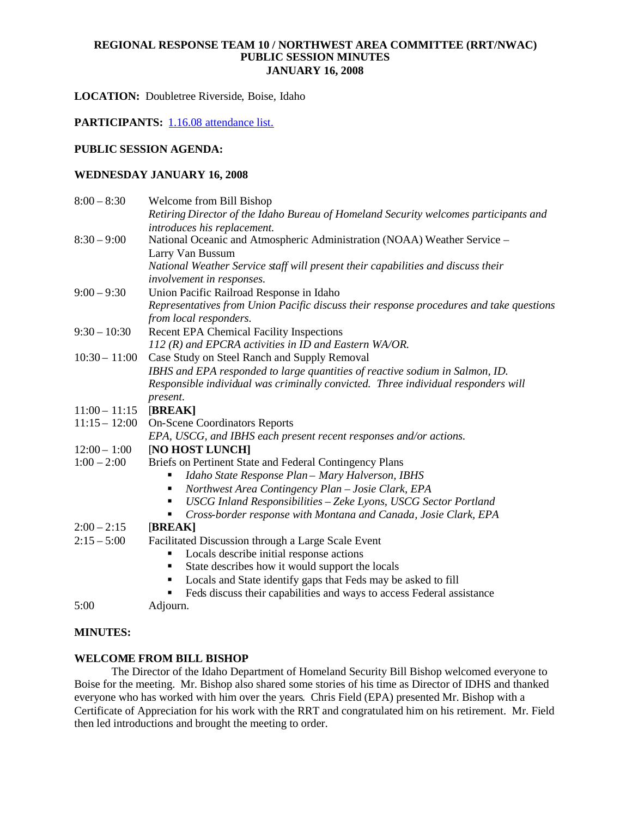## **REGIONAL RESPONSE TEAM 10 / NORTHWEST AREA COMMITTEE (RRT/NWAC) PUBLIC SESSION MINUTES JANUARY 16, 2008**

**LOCATION:** Doubletree Riverside, Boise, Idaho

PARTICIPANTS: 1.16.08 attendance list.

## **PUBLIC SESSION AGENDA:**

## **WEDNESDAY JANUARY 16, 2008**

| $8:00 - 8:30$   | Welcome from Bill Bishop                                                                |
|-----------------|-----------------------------------------------------------------------------------------|
|                 | Retiring Director of the Idaho Bureau of Homeland Security welcomes participants and    |
|                 | introduces his replacement.                                                             |
| $8:30 - 9:00$   | National Oceanic and Atmospheric Administration (NOAA) Weather Service -                |
|                 | Larry Van Bussum                                                                        |
|                 | National Weather Service staff will present their capabilities and discuss their        |
|                 | involvement in responses.                                                               |
| $9:00 - 9:30$   | Union Pacific Railroad Response in Idaho                                                |
|                 | Representatives from Union Pacific discuss their response procedures and take questions |
|                 | from local responders.                                                                  |
| $9:30 - 10:30$  | <b>Recent EPA Chemical Facility Inspections</b>                                         |
|                 | 112 (R) and EPCRA activities in ID and Eastern WA/OR.                                   |
| $10:30 - 11:00$ | Case Study on Steel Ranch and Supply Removal                                            |
|                 | IBHS and EPA responded to large quantities of reactive sodium in Salmon, ID.            |
|                 | Responsible individual was criminally convicted. Three individual responders will       |
|                 | present.                                                                                |
| $11:00 - 11:15$ | [BREAK]                                                                                 |
| $11:15 - 12:00$ | <b>On-Scene Coordinators Reports</b>                                                    |
|                 | EPA, USCG, and IBHS each present recent responses and/or actions.                       |
| $12:00 - 1:00$  | [NO HOST LUNCH]                                                                         |
| $1:00 - 2:00$   | Briefs on Pertinent State and Federal Contingency Plans                                 |
|                 | Idaho State Response Plan - Mary Halverson, IBHS                                        |
|                 | Northwest Area Contingency Plan - Josie Clark, EPA                                      |
|                 | USCG Inland Responsibilities - Zeke Lyons, USCG Sector Portland                         |
|                 | Cross-border response with Montana and Canada, Josie Clark, EPA<br>٠                    |
| $2:00 - 2:15$   | [BREAK]                                                                                 |
| $2:15 - 5:00$   | Facilitated Discussion through a Large Scale Event                                      |
|                 | Locals describe initial response actions                                                |
|                 | State describes how it would support the locals<br>٠                                    |
|                 | Locals and State identify gaps that Feds may be asked to fill                           |
|                 | Feds discuss their capabilities and ways to access Federal assistance                   |
| 5:00            | Adjourn.                                                                                |

#### **MINUTES:**

## **WELCOME FROM BILL BISHOP**

The Director of the Idaho Department of Homeland Security Bill Bishop welcomed everyone to Boise for the meeting. Mr. Bishop also shared some stories of his time as Director of IDHS and thanked everyone who has worked with him over the years. Chris Field (EPA) presented Mr. Bishop with a Certificate of Appreciation for his work with the RRT and congratulated him on his retirement. Mr. Field then led introductions and brought the meeting to order.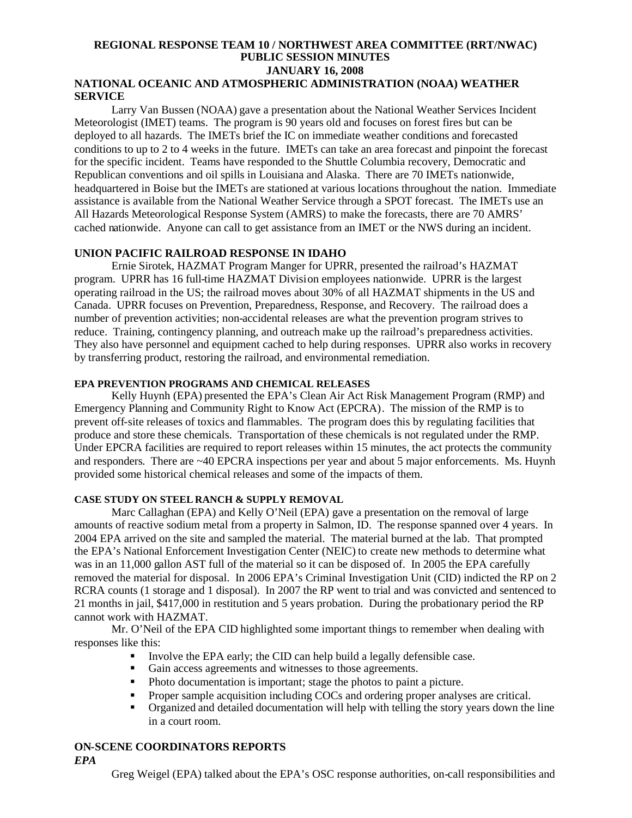#### **REGIONAL RESPONSE TEAM 10 / NORTHWEST AREA COMMITTEE (RRT/NWAC) PUBLIC SESSION MINUTES JANUARY 16, 2008 NATIONAL OCEANIC AND ATMOSPHERIC ADMINISTRATION (NOAA) WEATHER**

# **SERVICE**

Larry Van Bussen (NOAA) gave a presentation about the National Weather Services Incident Meteorologist (IMET) teams. The program is 90 years old and focuses on forest fires but can be deployed to all hazards. The IMETs brief the IC on immediate weather conditions and forecasted conditions to up to 2 to 4 weeks in the future. IMETs can take an area forecast and pinpoint the forecast for the specific incident. Teams have responded to the Shuttle Columbia recovery, Democratic and Republican conventions and oil spills in Louisiana and Alaska. There are 70 IMETs nationwide, headquartered in Boise but the IMETs are stationed at various locations throughout the nation. Immediate assistance is available from the National Weather Service through a SPOT forecast. The IMETs use an All Hazards Meteorological Response System (AMRS) to make the forecasts, there are 70 AMRS' cached nationwide. Anyone can call to get assistance from an IMET or the NWS during an incident.

## **UNION PACIFIC RAILROAD RESPONSE IN IDAHO**

Ernie Sirotek, HAZMAT Program Manger for UPRR, presented the railroad's HAZMAT program. UPRR has 16 full-time HAZMAT Division employees nationwide. UPRR is the largest operating railroad in the US; the railroad moves about 30% of all HAZMAT shipments in the US and Canada. UPRR focuses on Prevention, Preparedness, Response, and Recovery. The railroad does a number of prevention activities; non-accidental releases are what the prevention program strives to reduce. Training, contingency planning, and outreach make up the railroad's preparedness activities. They also have personnel and equipment cached to help during responses. UPRR also works in recovery by transferring product, restoring the railroad, and environmental remediation.

## **EPA PREVENTION PROGRAMS AND CHEMICAL RELEASES**

Kelly Huynh (EPA) presented the EPA's Clean Air Act Risk Management Program (RMP) and Emergency Planning and Community Right to Know Act (EPCRA). The mission of the RMP is to prevent off-site releases of toxics and flammables. The program does this by regulating facilities that produce and store these chemicals. Transportation of these chemicals is not regulated under the RMP. Under EPCRA facilities are required to report releases within 15 minutes, the act protects the community and responders. There are ~40 EPCRA inspections per year and about 5 major enforcements. Ms. Huynh provided some historical chemical releases and some of the impacts of them.

## **CASE STUDY ON STEEL RANCH & SUPPLY REMOVAL**

Marc Callaghan (EPA) and Kelly O'Neil (EPA) gave a presentation on the removal of large amounts of reactive sodium metal from a property in Salmon, ID. The response spanned over 4 years. In 2004 EPA arrived on the site and sampled the material. The material burned at the lab. That prompted the EPA's National Enforcement Investigation Center (NEIC) to create new methods to determine what was in an 11,000 gallon AST full of the material so it can be disposed of. In 2005 the EPA carefully removed the material for disposal. In 2006 EPA's Criminal Investigation Unit (CID) indicted the RP on 2 RCRA counts (1 storage and 1 disposal). In 2007 the RP went to trial and was convicted and sentenced to 21 months in jail, \$417,000 in restitution and 5 years probation. During the probationary period the RP cannot work with HAZMAT.

Mr. O'Neil of the EPA CID highlighted some important things to remember when dealing with responses like this:

- Involve the EPA early; the CID can help build a legally defensible case.
- Gain access agreements and witnesses to those agreements.
- Photo documentation is important; stage the photos to paint a picture.
- Proper sample acquisition including COCs and ordering proper analyses are critical.
- Organized and detailed documentation will help with telling the story years down the line in a court room.

# **ON-SCENE COORDINATORS REPORTS**

*EPA*

Greg Weigel (EPA) talked about the EPA's OSC response authorities, on-call responsibilities and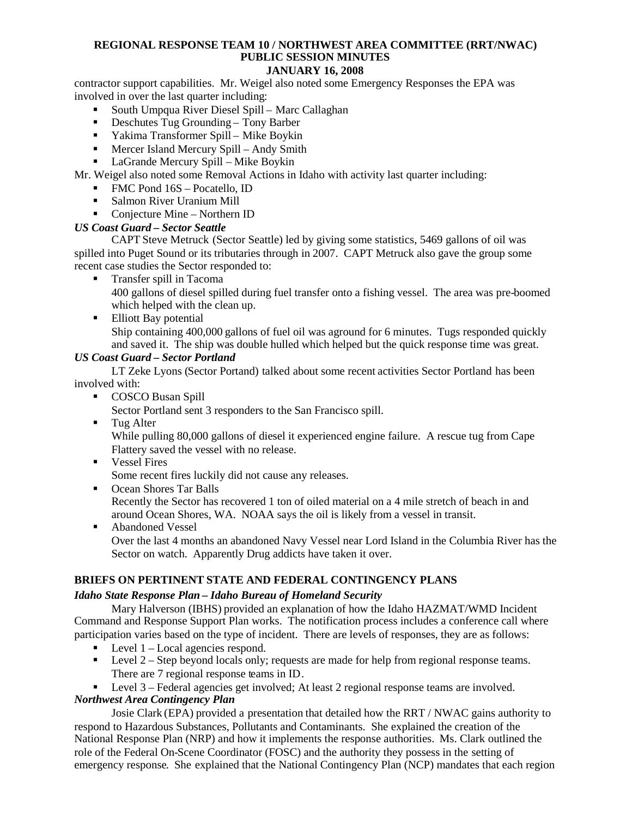## **REGIONAL RESPONSE TEAM 10 / NORTHWEST AREA COMMITTEE (RRT/NWAC) PUBLIC SESSION MINUTES**

## **JANUARY 16, 2008**

contractor support capabilities. Mr. Weigel also noted some Emergency Responses the EPA was involved in over the last quarter including:

- South Umpqua River Diesel Spill Marc Callaghan
- Deschutes Tug Grounding Tony Barber
- Yakima Transformer Spill Mike Boykin
- Mercer Island Mercury Spill Andy Smith
- LaGrande Mercury Spill Mike Boykin

Mr. Weigel also noted some Removal Actions in Idaho with activity last quarter including:

- FMC Pond 16S Pocatello, ID
- Salmon River Uranium Mill
- Conjecture Mine Northern ID

## *US Coast Guard – Sector Seattle*

CAPT Steve Metruck (Sector Seattle) led by giving some statistics, 5469 gallons of oil was spilled into Puget Sound or its tributaries through in 2007. CAPT Metruck also gave the group some recent case studies the Sector responded to:

**Transfer spill in Tacoma** 

400 gallons of diesel spilled during fuel transfer onto a fishing vessel. The area was pre-boomed which helped with the clean up.

■ Elliott Bay potential Ship containing 400,000 gallons of fuel oil was aground for 6 minutes. Tugs responded quickly and saved it. The ship was double hulled which helped but the quick response time was great.

## *US Coast Guard – Sector Portland*

LT Zeke Lyons (Sector Portand) talked about some recent activities Sector Portland has been involved with:

**COSCO Busan Spill** 

Sector Portland sent 3 responders to the San Francisco spill.

- **Tug Alter** While pulling 80,000 gallons of diesel it experienced engine failure. A rescue tug from Cape Flattery saved the vessel with no release.
- **Vessel Fires**

Some recent fires luckily did not cause any releases.

- Ocean Shores Tar Balls Recently the Sector has recovered 1 ton of oiled material on a 4 mile stretch of beach in and around Ocean Shores, WA. NOAA says the oil is likely from a vessel in transit.
- **Abandoned Vessel** Over the last 4 months an abandoned Navy Vessel near Lord Island in the Columbia River has the Sector on watch. Apparently Drug addicts have taken it over.

## **BRIEFS ON PERTINENT STATE AND FEDERAL CONTINGENCY PLANS**

## *Idaho State Response Plan – Idaho Bureau of Homeland Security*

Mary Halverson (IBHS) provided an explanation of how the Idaho HAZMAT/WMD Incident Command and Response Support Plan works. The notification process includes a conference call where participation varies based on the type of incident. There are levels of responses, they are as follows:

- $\blacksquare$  Level 1 Local agencies respond.
- Level  $2 -$  Step beyond locals only; requests are made for help from regional response teams. There are 7 regional response teams in ID.

Level 3 – Federal agencies get involved; At least 2 regional response teams are involved.

## *Northwest Area Contingency Plan*

Josie Clark (EPA) provided a presentation that detailed how the RRT / NWAC gains authority to respond to Hazardous Substances, Pollutants and Contaminants. She explained the creation of the National Response Plan (NRP) and how it implements the response authorities. Ms. Clark outlined the role of the Federal On-Scene Coordinator (FOSC) and the authority they possess in the setting of emergency response. She explained that the National Contingency Plan (NCP) mandates that each region